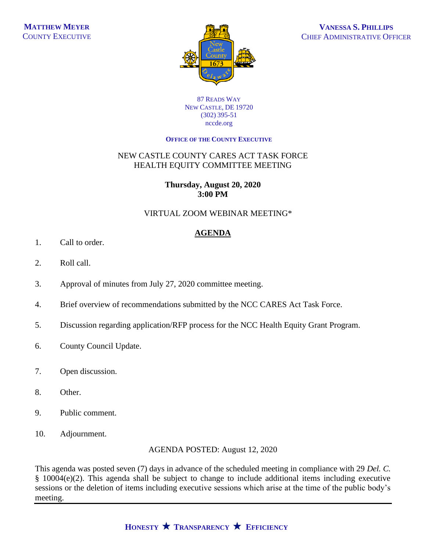

#### 87 READS WAY NEW CASTLE, DE 19720 (302) 395-51 nccde.org

#### **OFFICE OF THE COUNTY EXECUTIVE**

## NEW CASTLE COUNTY CARES ACT TASK FORCE HEALTH EQUITY COMMITTEE MEETING

## **Thursday, August 20, 2020 3:00 PM**

## VIRTUAL ZOOM WEBINAR MEETING\*

# **AGENDA**

- 1. Call to order.
- 2. Roll call.
- 3. Approval of minutes from July 27, 2020 committee meeting.
- 4. Brief overview of recommendations submitted by the NCC CARES Act Task Force.
- 5. Discussion regarding application/RFP process for the NCC Health Equity Grant Program.
- 6. County Council Update.
- 7. Open discussion.
- 8. Other.
- 9. Public comment.
- 10. Adjournment.

AGENDA POSTED: August 12, 2020

This agenda was posted seven (7) days in advance of the scheduled meeting in compliance with 29 *Del. C.* § 10004(e)(2). This agenda shall be subject to change to include additional items including executive sessions or the deletion of items including executive sessions which arise at the time of the public body's meeting.